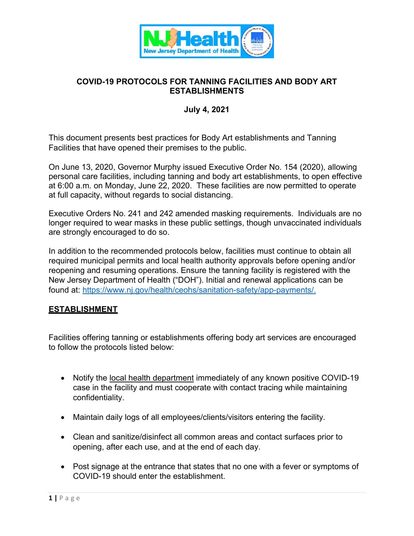

## **COVID-19 PROTOCOLS FOR TANNING FACILITIES AND BODY ART ESTABLISHMENTS**

## **July 4, 2021**

This document presents best practices for Body Art establishments and Tanning Facilities that have opened their premises to the public.

On June 13, 2020, Governor Murphy issued Executive Order No. 154 (2020), allowing personal care facilities, including tanning and body art establishments, to open effective at 6:00 a.m. on Monday, June 22, 2020. These facilities are now permitted to operate at full capacity, without regards to social distancing.

Executive Orders No. 241 and 242 amended masking requirements. Individuals are no longer required to wear masks in these public settings, though unvaccinated individuals are strongly encouraged to do so.

In addition to the recommended protocols below, facilities must continue to obtain all required municipal permits and local health authority approvals before opening and/or reopening and resuming operations. Ensure the tanning facility is registered with the New Jersey Department of Health ("DOH"). Initial and renewal applications can be found at: [https://www.nj.gov/health/ceohs/sanitation-safety/app-payments/.](https://www.nj.gov/health/ceohs/sanitation-safety/app-payments/)

#### **ESTABLISHMENT**

Facilities offering tanning or establishments offering body art services are encouraged to follow the protocols listed below:

- Notify the [local health department](https://www.nj.gov/health/webdata/lh/documents/lhdirectory.pdf) immediately of any known positive COVID-19 case in the facility and must cooperate with contact tracing while maintaining confidentiality.
- Maintain daily logs of all employees/clients/visitors entering the facility.
- Clean and sanitize/disinfect all common areas and contact surfaces prior to opening, after each use, and at the end of each day.
- Post signage at the entrance that states that no one with a fever or symptoms of COVID-19 should enter the establishment.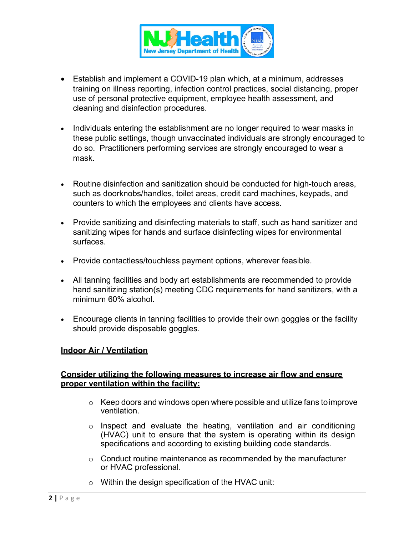

- Establish and implement a COVID-19 plan which, at a minimum, addresses training on illness reporting, infection control practices, social distancing, proper use of personal protective equipment, employee health assessment, and cleaning and disinfection procedures.
- Individuals entering the establishment are no longer required to wear masks in these public settings, though unvaccinated individuals are strongly encouraged to do so. Practitioners performing services are strongly encouraged to wear a mask.
- Routine disinfection and sanitization should be conducted for high-touch areas, such as doorknobs/handles, toilet areas, credit card machines, keypads, and counters to which the employees and clients have access.
- Provide sanitizing and disinfecting materials to staff, such as hand sanitizer and sanitizing wipes for hands and surface disinfecting wipes for environmental surfaces.
- Provide contactless/touchless payment options, wherever feasible.
- All tanning facilities and body art establishments are recommended to provide hand sanitizing station(s) meeting CDC requirements for hand sanitizers, with a minimum 60% alcohol.
- Encourage clients in tanning facilities to provide their own goggles or the facility should provide disposable goggles.

#### **Indoor Air / Ventilation**

#### **Consider utilizing the following measures to increase air flow and ensure proper ventilation within the facility:**

- $\circ$  Keep doors and windows open where possible and utilize fans to improve ventilation.
- $\circ$  Inspect and evaluate the heating, ventilation and air conditioning (HVAC) unit to ensure that the system is operating within its design specifications and according to existing building code standards.
- o Conduct routine maintenance as recommended by the manufacturer or HVAC professional.
- o Within the design specification of the HVAC unit: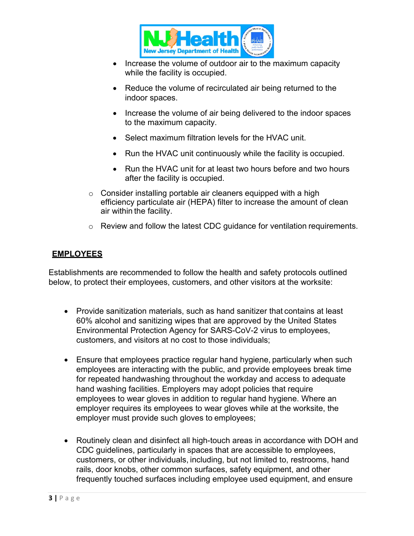

- Increase the volume of outdoor air to the maximum capacity while the facility is occupied.
- Reduce the volume of recirculated air being returned to the indoor spaces.
- Increase the volume of air being delivered to the indoor spaces to the maximum capacity.
- Select maximum filtration levels for the HVAC unit.
- Run the HVAC unit continuously while the facility is occupied.
- Run the HVAC unit for at least two hours before and two hours after the facility is occupied.
- $\circ$  Consider installing portable air cleaners equipped with a high efficiency particulate air (HEPA) filter to increase the amount of clean air within the facility.
- o Review and follow the latest CDC guidance for ventilation requirements.

# **EMPLOYEES**

Establishments are recommended to follow the health and safety protocols outlined below, to protect their employees, customers, and other visitors at the worksite:

- Provide sanitization materials, such as hand sanitizer that contains at least 60% alcohol and sanitizing wipes that are approved by the United States Environmental Protection Agency for SARS-CoV-2 virus to employees, customers, and visitors at no cost to those individuals;
- Ensure that employees practice regular hand hygiene, particularly when such employees are interacting with the public, and provide employees break time for repeated handwashing throughout the workday and access to adequate hand washing facilities. Employers may adopt policies that require employees to wear gloves in addition to regular hand hygiene. Where an employer requires its employees to wear gloves while at the worksite, the employer must provide such gloves to employees;
- Routinely clean and disinfect all high-touch areas in accordance with DOH and CDC guidelines, particularly in spaces that are accessible to employees, customers, or other individuals, including, but not limited to, restrooms, hand rails, door knobs, other common surfaces, safety equipment, and other frequently touched surfaces including employee used equipment, and ensure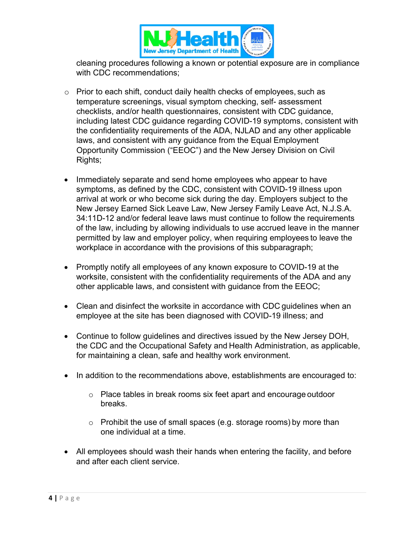

cleaning procedures following a known or potential exposure are in compliance with CDC recommendations;

- o Prior to each shift, conduct daily health checks of employees, such as temperature screenings, visual symptom checking, self- assessment checklists, and/or health questionnaires, consistent with CDC guidance, including latest CDC guidance regarding COVID-19 symptoms, consistent with the confidentiality requirements of the ADA, NJLAD and any other applicable laws, and consistent with any guidance from the Equal Employment Opportunity Commission ("EEOC") and the New Jersey Division on Civil Rights;
- Immediately separate and send home employees who appear to have symptoms, as defined by the CDC, consistent with COVID-19 illness upon arrival at work or who become sick during the day. Employers subject to the New Jersey Earned Sick Leave Law, New Jersey Family Leave Act, N.J.S.A. 34:11D-12 and/or federal leave laws must continue to follow the requirements of the law, including by allowing individuals to use accrued leave in the manner permitted by law and employer policy, when requiring employees to leave the workplace in accordance with the provisions of this subparagraph;
- Promptly notify all employees of any known exposure to COVID-19 at the worksite, consistent with the confidentiality requirements of the ADA and any other applicable laws, and consistent with guidance from the EEOC;
- Clean and disinfect the worksite in accordance with CDC guidelines when an employee at the site has been diagnosed with COVID-19 illness; and
- Continue to follow guidelines and directives issued by the New Jersey DOH, the CDC and the Occupational Safety and Health Administration, as applicable, for maintaining a clean, safe and healthy work environment.
- In addition to the recommendations above, establishments are encouraged to:
	- o Place tables in break rooms six feet apart and encourage outdoor breaks.
	- o Prohibit the use of small spaces (e.g. storage rooms) by more than one individual at a time.
- All employees should wash their hands when entering the facility, and before and after each client service.